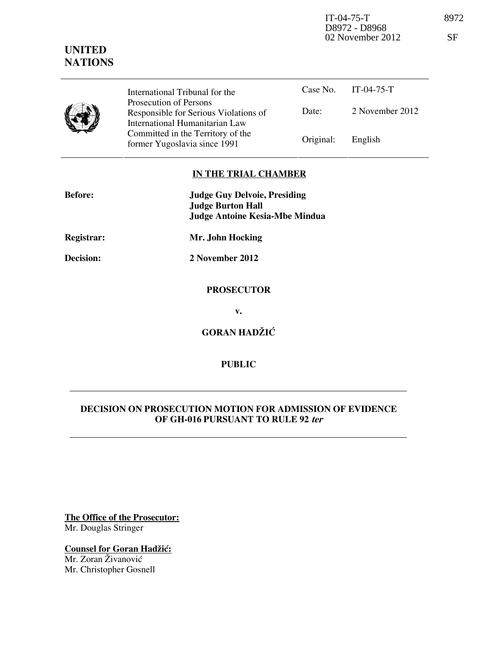IT-04-75-T 8972 D8972 - D8968 02 November 2012 SF

## **UNITED NATIONS**



Date: 2 November 2012 International Tribunal for the Prosecution of Persons Responsible for Serious Violations of International Humanitarian Law Committed in the Territory of the Former Yugoslavia since 1991 Original: English

### **IN THE TRIAL CHAMBER**

| <b>Before:</b> | <b>Judge Guy Delvoie, Presiding</b><br><b>Judge Burton Hall</b><br><b>Judge Antoine Kesia-Mbe Mindua</b> |
|----------------|----------------------------------------------------------------------------------------------------------|
| Registrar:     | Mr. John Hocking                                                                                         |
| Decision:      | 2 November 2012                                                                                          |
|                | <b>PROSECUTOR</b>                                                                                        |
|                | v.                                                                                                       |
|                | <b>GORAN HADŽIĆ</b>                                                                                      |
|                |                                                                                                          |

# **DECISION ON PROSECUTION MOTION FOR ADMISSION OF EVIDENCE OF GH-016 PURSUANT TO RULE 92 ter**

**PUBLIC** 

**The Office of the Prosecutor:** Mr. Douglas Stringer

**Counsel for Goran Hadžić:** Mr. Zoran Živanović Mr. Christopher Gosnell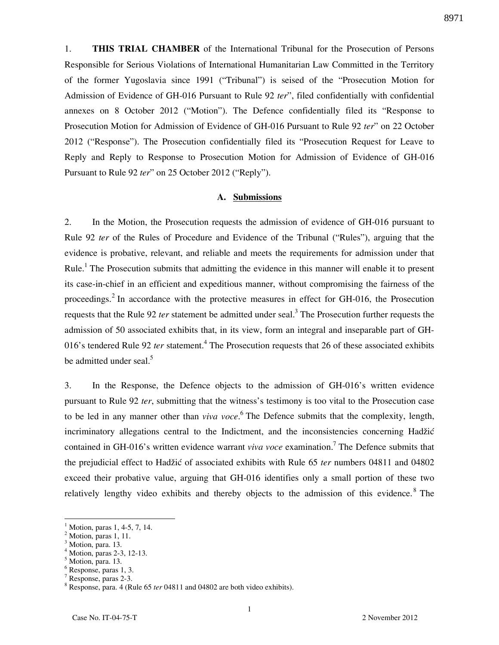8971

1. **THIS TRIAL CHAMBER** of the International Tribunal for the Prosecution of Persons Responsible for Serious Violations of International Humanitarian Law Committed in the Territory of the former Yugoslavia since 1991 ("Tribunal") is seised of the "Prosecution Motion for Admission of Evidence of GH-016 Pursuant to Rule 92 *ter*", filed confidentially with confidential annexes on 8 October 2012 ("Motion"). The Defence confidentially filed its "Response to Prosecution Motion for Admission of Evidence of GH-016 Pursuant to Rule 92 *ter*" on 22 October 2012 ("Response"). The Prosecution confidentially filed its "Prosecution Request for Leave to Reply and Reply to Response to Prosecution Motion for Admission of Evidence of GH-016 Pursuant to Rule 92 *ter*" on 25 October 2012 ("Reply").

#### **A. Submissions**

2. In the Motion, the Prosecution requests the admission of evidence of GH-016 pursuant to Rule 92 *ter* of the Rules of Procedure and Evidence of the Tribunal ("Rules"), arguing that the evidence is probative, relevant, and reliable and meets the requirements for admission under that Rule.<sup>1</sup> The Prosecution submits that admitting the evidence in this manner will enable it to present its case-in-chief in an efficient and expeditious manner, without compromising the fairness of the proceedings.<sup>2</sup> In accordance with the protective measures in effect for GH-016, the Prosecution requests that the Rule 92 *ter* statement be admitted under seal.<sup>3</sup> The Prosecution further requests the admission of 50 associated exhibits that, in its view, form an integral and inseparable part of GH-016's tendered Rule 92 *ter* statement.<sup>4</sup> The Prosecution requests that 26 of these associated exhibits be admitted under seal.<sup>5</sup>

3. In the Response, the Defence objects to the admission of GH-016's written evidence pursuant to Rule 92 *ter*, submitting that the witness's testimony is too vital to the Prosecution case to be led in any manner other than *viva voce*. 6 The Defence submits that the complexity, length, incriminatory allegations central to the Indictment, and the inconsistencies concerning Hadžić contained in GH-016's written evidence warrant *viva voce* examination.<sup>7</sup> The Defence submits that the prejudicial effect to Hadžić of associated exhibits with Rule 65 *ter* numbers 04811 and 04802 exceed their probative value, arguing that GH-016 identifies only a small portion of these two relatively lengthy video exhibits and thereby objects to the admission of this evidence.<sup>8</sup> The

 $\overline{a}$ 

<sup>1</sup> Motion, paras 1, 4-5, 7, 14.

<sup>2</sup> Motion, paras 1, 11.

<sup>3</sup> Motion, para. 13.

<sup>4</sup> Motion, paras 2-3, 12-13.

<sup>&</sup>lt;sup>5</sup> Motion, para. 13.

<sup>6</sup> Response, paras 1, 3.

<sup>7</sup> Response, paras 2-3.

<sup>&</sup>lt;sup>8</sup> Response, para. 4 (Rule 65 *ter* 04811 and 04802 are both video exhibits).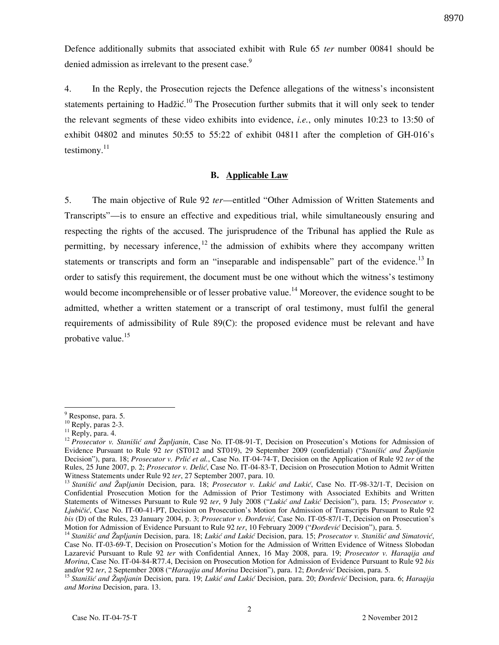Defence additionally submits that associated exhibit with Rule 65 *ter* number 00841 should be denied admission as irrelevant to the present case.<sup>9</sup>

4. In the Reply, the Prosecution rejects the Defence allegations of the witness's inconsistent statements pertaining to Hadžić.<sup>10</sup> The Prosecution further submits that it will only seek to tender the relevant segments of these video exhibits into evidence, *i.e.*, only minutes 10:23 to 13:50 of exhibit 04802 and minutes 50:55 to 55:22 of exhibit 04811 after the completion of GH-016's testimony. $^{11}$ 

#### **B. Applicable Law**

5. The main objective of Rule 92 *ter*—entitled "Other Admission of Written Statements and Transcripts"—is to ensure an effective and expeditious trial, while simultaneously ensuring and respecting the rights of the accused. The jurisprudence of the Tribunal has applied the Rule as permitting, by necessary inference,  $12$  the admission of exhibits where they accompany written statements or transcripts and form an "inseparable and indispensable" part of the evidence.<sup>13</sup> In order to satisfy this requirement, the document must be one without which the witness's testimony would become incomprehensible or of lesser probative value.<sup>14</sup> Moreover, the evidence sought to be admitted, whether a written statement or a transcript of oral testimony, must fulfil the general requirements of admissibility of Rule 89(C): the proposed evidence must be relevant and have probative value.<sup>15</sup>

2

8970

 $\overline{a}$ <sup>9</sup> Response, para. 5.

<sup>&</sup>lt;sup>10</sup> Reply, paras 2-3.

 $11$  Reply, para. 4.

<sup>12</sup> *Prosecutor v. Stanišić and Župljanin*, Case No. IT-08-91-T, Decision on Prosecution's Motions for Admission of Evidence Pursuant to Rule 92 *ter* (ST012 and ST019), 29 September 2009 (confidential) ("*Stanišić and Župljanin* Decision"), para. 18; *Prosecutor v. Prlić et al.*, Case No. IT-04-74-T, Decision on the Application of Rule 92 *ter* of the Rules, 25 June 2007, p. 2; *Prosecutor v. Delić*, Case No. IT-04-83-T, Decision on Prosecution Motion to Admit Written Witness Statements under Rule 92 *ter*, 27 September 2007, para. 10.

<sup>&</sup>lt;sup>13</sup> *Stanišić and Župljanin* Decision, para. 18; *Prosecutor v. Lukić and Lukić*, Case No. IT-98-32/1-T, Decision on Confidential Prosecution Motion for the Admission of Prior Testimony with Associated Exhibits and Written Statements of Witnesses Pursuant to Rule 92 ter, 9 July 2008 ("Lukić and Lukić Decision"), para. 15; *Prosecutor v. Ljubičić*, Case No. IT-00-41-PT, Decision on Prosecution's Motion for Admission of Transcripts Pursuant to Rule 92 *bis* (D) of the Rules, 23 January 2004, p. 3; *Prosecutor v. Đorđević*, Case No. IT-05-87/1-T, Decision on Prosecution's Motion for Admission of Evidence Pursuant to Rule 92 *ter*, 10 February 2009 ("*Dordević* Decision"), para. 5.

<sup>&</sup>lt;sup>14</sup> Stanišić and Župljanin Decision, para. 18; Lukić and Lukić Decision, para. 15; Prosecutor v. Stanišić and Simatović, Case No. IT-03-69-T, Decision on Prosecution's Motion for the Admission of Written Evidence of Witness Slobodan Lazarevi} Pursuant to Rule 92 *ter* with Confidential Annex, 16 May 2008, para. 19; *Prosecutor v. Haraqija and Morina*, Case No. IT-04-84-R77.4, Decision on Prosecution Motion for Admission of Evidence Pursuant to Rule 92 *bis* and/or 92 ter, 2 September 2008 ("*Haraqija and Morina* Decision"), para. 12; *Đorđević* Decision, para. 5.

<sup>&</sup>lt;sup>15</sup> Stanišić and Župljanin Decision, para. 19; Lukić and Lukić Decision, para. 20; *Đorđević* Decision, para. 6; *Haraqija and Morina* Decision, para. 13.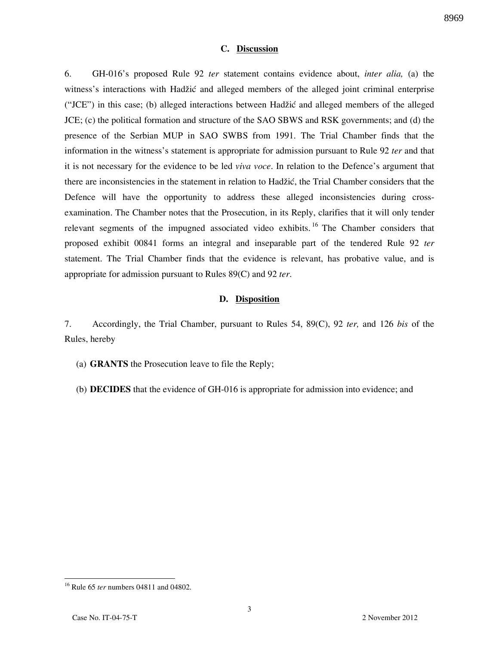#### **C. Discussion**

6. GH-016's proposed Rule 92 *ter* statement contains evidence about, *inter alia,* (a) the witness's interactions with Hadžić and alleged members of the alleged joint criminal enterprise ("JCE") in this case; (b) alleged interactions between Hadžić and alleged members of the alleged JCE; (c) the political formation and structure of the SAO SBWS and RSK governments; and (d) the presence of the Serbian MUP in SAO SWBS from 1991. The Trial Chamber finds that the information in the witness's statement is appropriate for admission pursuant to Rule 92 *ter* and that it is not necessary for the evidence to be led *viva voce*. In relation to the Defence's argument that there are inconsistencies in the statement in relation to Hadžić, the Trial Chamber considers that the Defence will have the opportunity to address these alleged inconsistencies during crossexamination. The Chamber notes that the Prosecution, in its Reply, clarifies that it will only tender relevant segments of the impugned associated video exhibits.<sup>16</sup> The Chamber considers that proposed exhibit 00841 forms an integral and inseparable part of the tendered Rule 92 *ter*  statement. The Trial Chamber finds that the evidence is relevant, has probative value, and is appropriate for admission pursuant to Rules 89(C) and 92 *ter*.

#### **D. Disposition**

7. Accordingly, the Trial Chamber, pursuant to Rules 54, 89(C), 92 *ter,* and 126 *bis* of the Rules, hereby

- (a) **GRANTS** the Prosecution leave to file the Reply;
- (b) **DECIDES** that the evidence of GH-016 is appropriate for admission into evidence; and

<sup>16</sup> Rule 65 *ter* numbers 04811 and 04802.